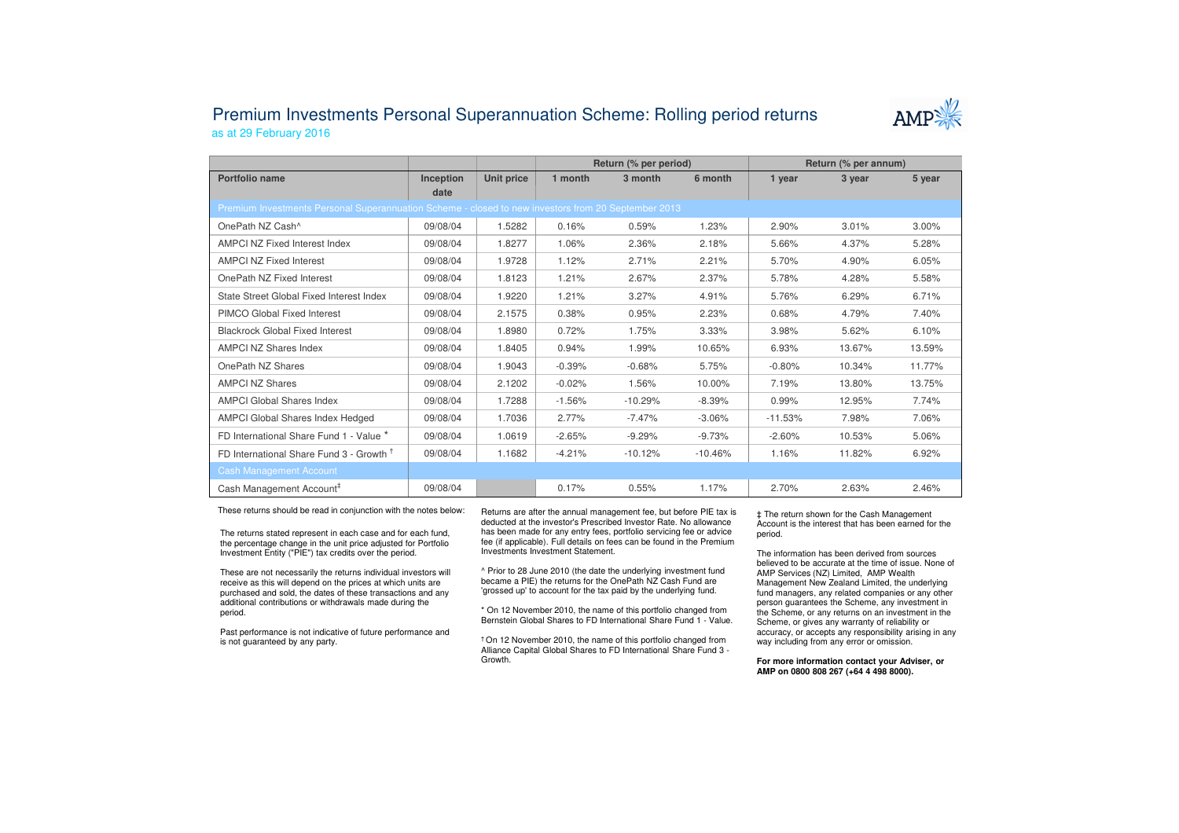## Premium Investments Personal Superannuation Scheme: Rolling period returnsas at 29 February 2016



|                                                                                                     |                  |            | Return (% per period) |           |           | Return (% per annum) |        |          |
|-----------------------------------------------------------------------------------------------------|------------------|------------|-----------------------|-----------|-----------|----------------------|--------|----------|
| Portfolio name                                                                                      | <b>Inception</b> | Unit price | 1 month               | 3 month   | 6 month   | 1 year               | 3 year | 5 year   |
|                                                                                                     | date             |            |                       |           |           |                      |        |          |
| Premium Investments Personal Superannuation Scheme - closed to new investors from 20 September 2013 |                  |            |                       |           |           |                      |        |          |
| OnePath NZ Cash^                                                                                    | 09/08/04         | 1.5282     | 0.16%                 | 0.59%     | 1.23%     | 2.90%                | 3.01%  | $3.00\%$ |
| AMPCI NZ Fixed Interest Index                                                                       | 09/08/04         | 1.8277     | 1.06%                 | 2.36%     | 2.18%     | 5.66%                | 4.37%  | 5.28%    |
| <b>AMPCI NZ Fixed Interest</b>                                                                      | 09/08/04         | 1.9728     | 1.12%                 | 2.71%     | 2.21%     | 5.70%                | 4.90%  | 6.05%    |
| OnePath NZ Fixed Interest                                                                           | 09/08/04         | 1.8123     | 1.21%                 | 2.67%     | 2.37%     | 5.78%                | 4.28%  | 5.58%    |
| State Street Global Fixed Interest Index                                                            | 09/08/04         | 1.9220     | 1.21%                 | 3.27%     | 4.91%     | 5.76%                | 6.29%  | 6.71%    |
| PIMCO Global Fixed Interest                                                                         | 09/08/04         | 2.1575     | 0.38%                 | 0.95%     | 2.23%     | 0.68%                | 4.79%  | 7.40%    |
| <b>Blackrock Global Fixed Interest</b>                                                              | 09/08/04         | 1.8980     | 0.72%                 | 1.75%     | 3.33%     | 3.98%                | 5.62%  | 6.10%    |
| <b>AMPCI NZ Shares Index</b>                                                                        | 09/08/04         | 1.8405     | 0.94%                 | 1.99%     | 10.65%    | 6.93%                | 13.67% | 13.59%   |
| OnePath NZ Shares                                                                                   | 09/08/04         | 1.9043     | $-0.39%$              | $-0.68%$  | 5.75%     | $-0.80%$             | 10.34% | 11.77%   |
| <b>AMPCI NZ Shares</b>                                                                              | 09/08/04         | 2.1202     | $-0.02%$              | 1.56%     | 10.00%    | 7.19%                | 13.80% | 13.75%   |
| <b>AMPCI Global Shares Index</b>                                                                    | 09/08/04         | 1.7288     | $-1.56%$              | $-10.29%$ | $-8.39%$  | 0.99%                | 12.95% | 7.74%    |
| <b>AMPCI Global Shares Index Hedged</b>                                                             | 09/08/04         | 1.7036     | 2.77%                 | $-7.47%$  | $-3.06%$  | $-11.53%$            | 7.98%  | 7.06%    |
| FD International Share Fund 1 - Value *                                                             | 09/08/04         | 1.0619     | $-2.65%$              | $-9.29%$  | $-9.73%$  | $-2.60%$             | 10.53% | 5.06%    |
| FD International Share Fund 3 - Growth <sup>T</sup>                                                 | 09/08/04         | 1.1682     | $-4.21%$              | $-10.12%$ | $-10.46%$ | 1.16%                | 11.82% | 6.92%    |
| <b>Cash Management Account</b>                                                                      |                  |            |                       |           |           |                      |        |          |
| Cash Management Account <sup>#</sup>                                                                | 09/08/04         |            | 0.17%                 | 0.55%     | 1.17%     | 2.70%                | 2.63%  | 2.46%    |

These returns should be read in conjunction with the notes below:

The returns stated represent in each case and for each fund, the percentage change in the unit price adjusted for Portfolio Investment Entity ("PIE") tax credits over the period.

These are not necessarily the returns individual investors will receive as this will depend on the prices at which units are purchased and sold, the dates of these transactions and any additional contributions or withdrawals made during the period.

Past performance is not indicative of future performance and is not guaranteed by any party.

Returns are after the annual management fee, but before PIE tax is deducted at the investor's Prescribed Investor Rate. No allowance has been made for any entry fees, portfolio servicing fee or advice fee (if applicable). Full details on fees can be found in the Premium Investments Investment Statement.

^ Prior to 28 June 2010 (the date the underlying investment fund became a PIE) the returns for the OnePath NZ Cash Fund are 'grossed up' to account for the tax paid by the underlying fund.

\* On 12 November 2010, the name of this portfolio changed from Bernstein Global Shares to FD International Share Fund 1 - Value.

† On 12 November 2010, the name of this portfolio changed from Alliance Capital Global Shares to FD International Share Fund 3 -Growth.

‡ The return shown for the Cash Management Account is the interest that has been earned for the period.

The information has been derived from sources believed to be accurate at the time of issue. None of AMP Services (NZ) Limited, AMP Wealth Management New Zealand Limited, the underlying fund managers, any related companies or any other person guarantees the Scheme, any investment in the Scheme, or any returns on an investment in the Scheme, or gives any warranty of reliability or accuracy, or accepts any responsibility arising in any way including from any error or omission.

**For more information contact your Adviser, or AMP on 0800 808 267 (+64 4 498 8000).**